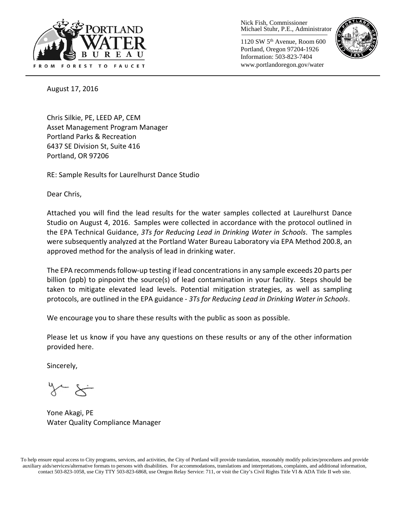

Nick Fish, Commissioner Michael Stuhr, P.E., Administrator

1120 SW 5th Avenue, Room 600 Portland, Oregon 97204-1926 Information: 503-823-7404 www.portlandoregon.gov/water



August 17, 2016

Chris Silkie, PE, LEED AP, CEM Asset Management Program Manager Portland Parks & Recreation 6437 SE Division St, Suite 416 Portland, OR 97206

RE: Sample Results for Laurelhurst Dance Studio

Dear Chris,

Attached you will find the lead results for the water samples collected at Laurelhurst Dance Studio on August 4, 2016. Samples were collected in accordance with the protocol outlined in the EPA Technical Guidance, *3Ts for Reducing Lead in Drinking Water in Schools*. The samples were subsequently analyzed at the Portland Water Bureau Laboratory via EPA Method 200.8, an approved method for the analysis of lead in drinking water.

The EPA recommends follow-up testing if lead concentrations in any sample exceeds 20 parts per billion (ppb) to pinpoint the source(s) of lead contamination in your facility. Steps should be taken to mitigate elevated lead levels. Potential mitigation strategies, as well as sampling protocols, are outlined in the EPA guidance - *3Ts for Reducing Lead in Drinking Water in Schools*.

We encourage you to share these results with the public as soon as possible.

Please let us know if you have any questions on these results or any of the other information provided here.

Sincerely,

Yone Akagi, PE Water Quality Compliance Manager

To help ensure equal access to City programs, services, and activities, the City of Portland will provide translation, reasonably modify policies/procedures and provide auxiliary aids/services/alternative formats to persons with disabilities. For accommodations, translations and interpretations, complaints, and additional information, contact 503-823-1058, use City TTY 503-823-6868, use Oregon Relay Service: 711, or visi[t the City's Civil Rights Title VI & ADA Title II web site.](http://www.portlandoregon.gov/oehr/66458)